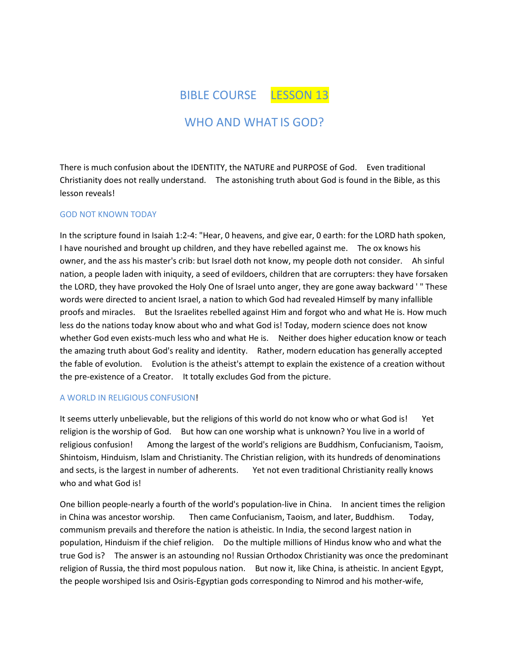BIBLE COURSE LESSON 13

# WHO AND WHAT IS GOD?

There is much confusion about the IDENTITY, the NATURE and PURPOSE of God. Even traditional Christianity does not really understand. The astonishing truth about God is found in the Bible, as this lesson reveals!

## GOD NOT KNOWN TODAY

In the scripture found in Isaiah 1:2-4: "Hear, 0 heavens, and give ear, 0 earth: for the LORD hath spoken, I have nourished and brought up children, and they have rebelled against me. The ox knows his owner, and the ass his master's crib: but Israel doth not know, my people doth not consider. Ah sinful nation, a people laden with iniquity, a seed of evildoers, children that are corrupters: they have forsaken the LORD, they have provoked the Holy One of Israel unto anger, they are gone away backward ' " These words were directed to ancient Israel, a nation to which God had revealed Himself by many infallible proofs and miracles. But the Israelites rebelled against Him and forgot who and what He is. How much less do the nations today know about who and what God is! Today, modern science does not know whether God even exists-much less who and what He is. Neither does higher education know or teach the amazing truth about God's reality and identity. Rather, modern education has generally accepted the fable of evolution. Evolution is the atheist's attempt to explain the existence of a creation without the pre-existence of a Creator. It totally excludes God from the picture.

#### A WORLD IN RELIGIOUS CONFUSION!

It seems utterly unbelievable, but the religions of this world do not know who or what God is! Yet religion is the worship of God. But how can one worship what is unknown? You live in a world of religious confusion! Among the largest of the world's religions are Buddhism, Confucianism, Taoism, Shintoism, Hinduism, Islam and Christianity. The Christian religion, with its hundreds of denominations and sects, is the largest in number of adherents. Yet not even traditional Christianity really knows who and what God is!

One billion people-nearly a fourth of the world's population-live in China. In ancient times the religion in China was ancestor worship. Then came Confucianism, Taoism, and later, Buddhism. Today, communism prevails and therefore the nation is atheistic. In India, the second largest nation in population, Hinduism if the chief religion. Do the multiple millions of Hindus know who and what the true God is? The answer is an astounding no! Russian Orthodox Christianity was once the predominant religion of Russia, the third most populous nation. But now it, like China, is atheistic. In ancient Egypt, the people worshiped Isis and Osiris-Egyptian gods corresponding to Nimrod and his mother-wife,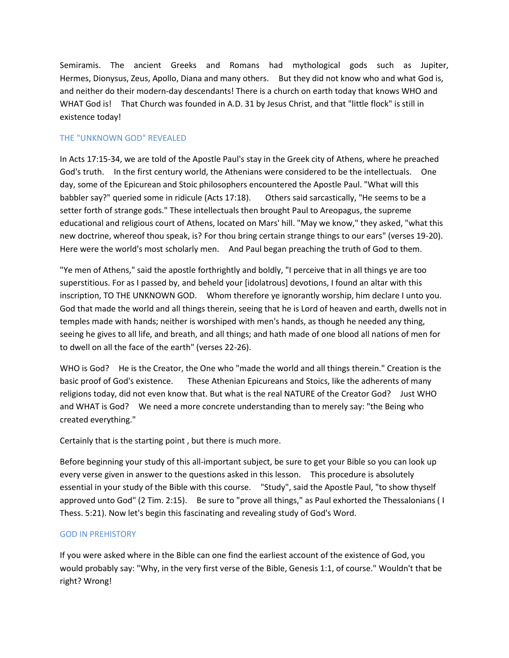Semiramis. The ancient Greeks and Romans had mythological gods such as Jupiter, Hermes, Dionysus, Zeus, Apollo, Diana and many others. But they did not know who and what God is, and neither do their modern-day descendants! There is a church on earth today that knows WHO and WHAT God is! That Church was founded in A.D. 31 by Jesus Christ, and that "little flock" is still in existence today!

## THE "UNKNOWN GOD" REVEALED

In Acts 17:15-34, we are told of the Apostle Paul's stay in the Greek city of Athens, where he preached God's truth. In the first century world, the Athenians were considered to be the intellectuals. One day, some of the Epicurean and Stoic philosophers encountered the Apostle Paul. "What will this babbler say?" queried some in ridicule (Acts 17:18). Others said sarcastically, "He seems to be a setter forth of strange gods." These intellectuals then brought Paul to Areopagus, the supreme educational and religious court of Athens, located on Mars' hill. "May we know," they asked, "what this new doctrine, whereof thou speak, is? For thou bring certain strange things to our ears" (verses 19-20). Here were the world's most scholarly men. And Paul began preaching the truth of God to them.

"Ye men of Athens," said the apostle forthrightly and boldly, "I perceive that in all things ye are too superstitious. For as I passed by, and beheld your [idolatrous] devotions, I found an altar with this inscription, TO THE UNKNOWN GOD. Whom therefore ye ignorantly worship, him declare I unto you. God that made the world and all things therein, seeing that he is Lord of heaven and earth, dwells not in temples made with hands; neither is worshiped with men's hands, as though he needed any thing, seeing he gives to all life, and breath, and all things; and hath made of one blood all nations of men for to dwell on all the face of the earth" (verses 22-26).

WHO is God? He is the Creator, the One who "made the world and all things therein." Creation is the basic proof of God's existence. These Athenian Epicureans and Stoics, like the adherents of many religions today, did not even know that. But what is the real NATURE of the Creator God? Just WHO and WHAT is God? We need a more concrete understanding than to merely say: "the Being who created everything."

Certainly that is the starting point , but there is much more.

Before beginning your study of this all-important subject, be sure to get your Bible so you can look up every verse given in answer to the questions asked in this lesson. This procedure is absolutely essential in your study of the Bible with this course. "Study", said the Apostle Paul, "to show thyself approved unto God" (2 Tim. 2:15). Be sure to "prove all things," as Paul exhorted the Thessalonians ( I Thess. 5:21). Now let's begin this fascinating and revealing study of God's Word.

## GOD IN PREHISTORY

If you were asked where in the Bible can one find the earliest account of the existence of God, you would probably say: "Why, in the very first verse of the Bible, Genesis 1:1, of course." Wouldn't that be right? Wrong!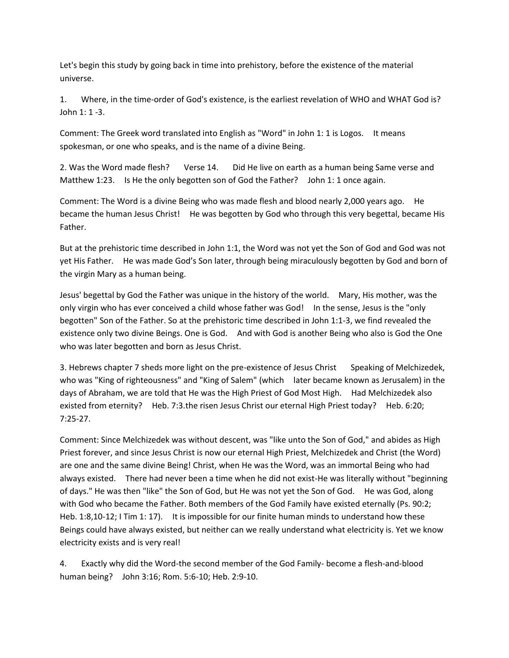Let's begin this study by going back in time into prehistory, before the existence of the material universe.

1. Where, in the time-order of God's existence, is the earliest revelation of WHO and WHAT God is? John 1: 1 -3.

Comment: The Greek word translated into English as "Word" in John 1: 1 is Logos. It means spokesman, or one who speaks, and is the name of a divine Being.

2. Was the Word made flesh? Verse 14. Did He live on earth as a human being Same verse and Matthew 1:23. Is He the only begotten son of God the Father? John 1: 1 once again.

Comment: The Word is a divine Being who was made flesh and blood nearly 2,000 years ago. He became the human Jesus Christ! He was begotten by God who through this very begettal, became His Father.

But at the prehistoric time described in John 1:1, the Word was not yet the Son of God and God was not yet His Father. He was made God's Son later, through being miraculously begotten by God and born of the virgin Mary as a human being.

Jesus' begettal by God the Father was unique in the history of the world. Mary, His mother, was the only virgin who has ever conceived a child whose father was God! In the sense, Jesus is the "only begotten" Son of the Father. So at the prehistoric time described in John 1:1-3, we find revealed the existence only two divine Beings. One is God. And with God is another Being who also is God the One who was later begotten and born as Jesus Christ.

3. Hebrews chapter 7 sheds more light on the pre-existence of Jesus Christ Speaking of Melchizedek, who was "King of righteousness" and "King of Salem" (which later became known as Jerusalem) in the days of Abraham, we are told that He was the High Priest of God Most High. Had Melchizedek also existed from eternity? Heb. 7:3.the risen Jesus Christ our eternal High Priest today? Heb. 6:20; 7:25-27.

Comment: Since Melchizedek was without descent, was "like unto the Son of God," and abides as High Priest forever, and since Jesus Christ is now our eternal High Priest, Melchizedek and Christ (the Word) are one and the same divine Being! Christ, when He was the Word, was an immortal Being who had always existed. There had never been a time when he did not exist-He was literally without "beginning of days." He was then "like" the Son of God, but He was not yet the Son of God. He was God, along with God who became the Father. Both members of the God Family have existed eternally (Ps. 90:2; Heb. 1:8,10-12; I Tim 1: 17). It is impossible for our finite human minds to understand how these Beings could have always existed, but neither can we really understand what electricity is. Yet we know electricity exists and is very real!

4. Exactly why did the Word-the second member of the God Family- become a flesh-and-blood human being? John 3:16; Rom. 5:6-10; Heb. 2:9-10.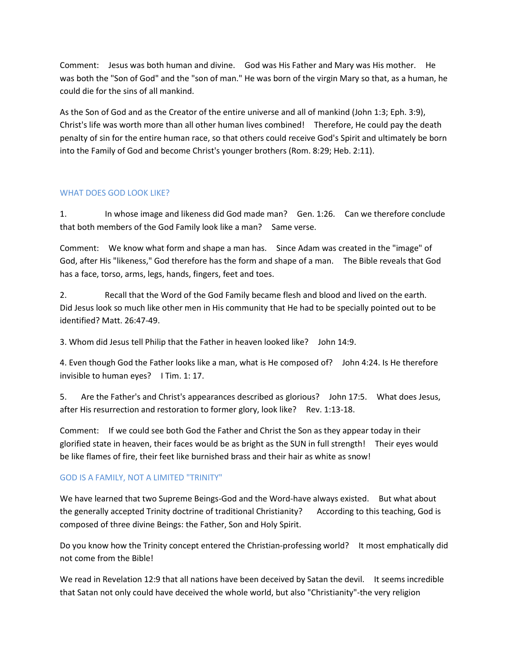Comment: Jesus was both human and divine. God was His Father and Mary was His mother. He was both the "Son of God" and the "son of man." He was born of the virgin Mary so that, as a human, he could die for the sins of all mankind.

As the Son of God and as the Creator of the entire universe and all of mankind (John 1:3; Eph. 3:9), Christ's life was worth more than all other human lives combined! Therefore, He could pay the death penalty of sin for the entire human race, so that others could receive God's Spirit and ultimately be born into the Family of God and become Christ's younger brothers (Rom. 8:29; Heb. 2:11).

# WHAT DOES GOD LOOK LIKE?

1. In whose image and likeness did God made man? Gen. 1:26. Can we therefore conclude that both members of the God Family look like a man? Same verse.

Comment: We know what form and shape a man has. Since Adam was created in the "image" of God, after His "likeness," God therefore has the form and shape of a man. The Bible reveals that God has a face, torso, arms, legs, hands, fingers, feet and toes.

2. Recall that the Word of the God Family became flesh and blood and lived on the earth. Did Jesus look so much like other men in His community that He had to be specially pointed out to be identified? Matt. 26:47-49.

3. Whom did Jesus tell Philip that the Father in heaven looked like? John 14:9.

4. Even though God the Father looks like a man, what is He composed of? John 4:24. Is He therefore invisible to human eyes? I Tim. 1: 17.

5. Are the Father's and Christ's appearances described as glorious? John 17:5. What does Jesus, after His resurrection and restoration to former glory, look like? Rev. 1:13-18.

Comment: If we could see both God the Father and Christ the Son as they appear today in their glorified state in heaven, their faces would be as bright as the SUN in full strength! Their eyes would be like flames of fire, their feet like burnished brass and their hair as white as snow!

# GOD IS A FAMILY, NOT A LIMITED "TRINITY"

We have learned that two Supreme Beings-God and the Word-have always existed. But what about the generally accepted Trinity doctrine of traditional Christianity? According to this teaching, God is composed of three divine Beings: the Father, Son and Holy Spirit.

Do you know how the Trinity concept entered the Christian-professing world? It most emphatically did not come from the Bible!

We read in Revelation 12:9 that all nations have been deceived by Satan the devil. It seems incredible that Satan not only could have deceived the whole world, but also "Christianity"-the very religion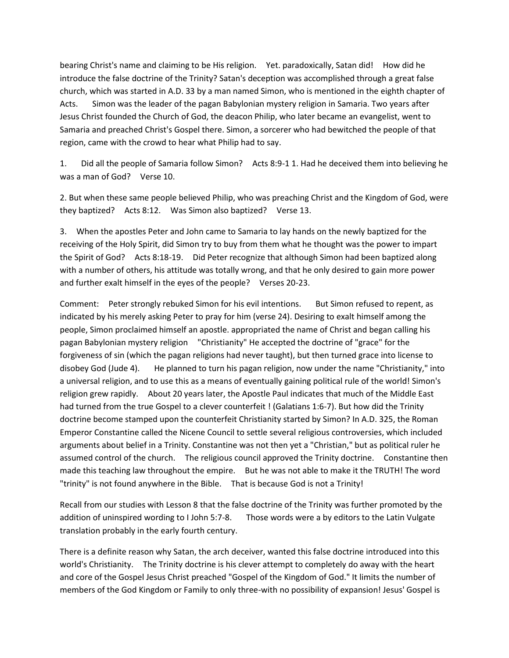bearing Christ's name and claiming to be His religion. Yet. paradoxically, Satan did! How did he introduce the false doctrine of the Trinity? Satan's deception was accomplished through a great false church, which was started in A.D. 33 by a man named Simon, who is mentioned in the eighth chapter of Acts. Simon was the leader of the pagan Babylonian mystery religion in Samaria. Two years after Jesus Christ founded the Church of God, the deacon Philip, who later became an evangelist, went to Samaria and preached Christ's Gospel there. Simon, a sorcerer who had bewitched the people of that region, came with the crowd to hear what Philip had to say.

1. Did all the people of Samaria follow Simon? Acts 8:9-1 1. Had he deceived them into believing he was a man of God? Verse 10.

2. But when these same people believed Philip, who was preaching Christ and the Kingdom of God, were they baptized? Acts 8:12. Was Simon also baptized? Verse 13.

3. When the apostles Peter and John came to Samaria to lay hands on the newly baptized for the receiving of the Holy Spirit, did Simon try to buy from them what he thought was the power to impart the Spirit of God? Acts 8:18-19. Did Peter recognize that although Simon had been baptized along with a number of others, his attitude was totally wrong, and that he only desired to gain more power and further exalt himself in the eyes of the people? Verses 20-23.

Comment: Peter strongly rebuked Simon for his evil intentions. But Simon refused to repent, as indicated by his merely asking Peter to pray for him (verse 24). Desiring to exalt himself among the people, Simon proclaimed himself an apostle. appropriated the name of Christ and began calling his pagan Babylonian mystery religion "Christianity" He accepted the doctrine of "grace" for the forgiveness of sin (which the pagan religions had never taught), but then turned grace into license to disobey God (Jude 4). He planned to turn his pagan religion, now under the name "Christianity," into a universal religion, and to use this as a means of eventually gaining political rule of the world! Simon's religion grew rapidly. About 20 years later, the Apostle Paul indicates that much of the Middle East had turned from the true Gospel to a clever counterfeit ! (Galatians 1:6-7). But how did the Trinity doctrine become stamped upon the counterfeit Christianity started by Simon? In A.D. 325, the Roman Emperor Constantine called the Nicene Council to settle several religious controversies, which included arguments about belief in a Trinity. Constantine was not then yet a "Christian," but as political ruler he assumed control of the church. The religious council approved the Trinity doctrine. Constantine then made this teaching law throughout the empire. But he was not able to make it the TRUTH! The word "trinity" is not found anywhere in the Bible. That is because God is not a Trinity!

Recall from our studies with Lesson 8 that the false doctrine of the Trinity was further promoted by the addition of uninspired wording to I John 5:7-8. Those words were a by editors to the Latin Vulgate translation probably in the early fourth century.

There is a definite reason why Satan, the arch deceiver, wanted this false doctrine introduced into this world's Christianity. The Trinity doctrine is his clever attempt to completely do away with the heart and core of the Gospel Jesus Christ preached "Gospel of the Kingdom of God." It limits the number of members of the God Kingdom or Family to only three-with no possibility of expansion! Jesus' Gospel is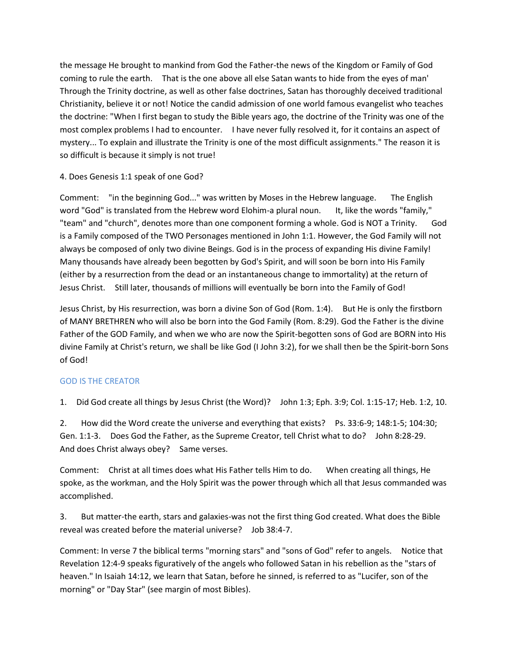the message He brought to mankind from God the Father-the news of the Kingdom or Family of God coming to rule the earth. That is the one above all else Satan wants to hide from the eyes of man' Through the Trinity doctrine, as well as other false doctrines, Satan has thoroughly deceived traditional Christianity, believe it or not! Notice the candid admission of one world famous evangelist who teaches the doctrine: "When I first began to study the Bible years ago, the doctrine of the Trinity was one of the most complex problems I had to encounter. I have never fully resolved it, for it contains an aspect of mystery... To explain and illustrate the Trinity is one of the most difficult assignments." The reason it is so difficult is because it simply is not true!

# 4. Does Genesis 1:1 speak of one God?

Comment: "in the beginning God..." was written by Moses in the Hebrew language. The English word "God" is translated from the Hebrew word Elohim-a plural noun. It, like the words "family," "team" and "church", denotes more than one component forming a whole. God is NOT a Trinity. God is a Family composed of the TWO Personages mentioned in John 1:1. However, the God Family will not always be composed of only two divine Beings. God is in the process of expanding His divine Family! Many thousands have already been begotten by God's Spirit, and will soon be born into His Family (either by a resurrection from the dead or an instantaneous change to immortality) at the return of Jesus Christ. Still later, thousands of millions will eventually be born into the Family of God!

Jesus Christ, by His resurrection, was born a divine Son of God (Rom. 1:4). But He is only the firstborn of MANY BRETHREN who will also be born into the God Family (Rom. 8:29). God the Father is the divine Father of the GOD Family, and when we who are now the Spirit-begotten sons of God are BORN into His divine Family at Christ's return, we shall be like God (I John 3:2), for we shall then be the Spirit-born Sons of God!

# GOD IS THE CREATOR

1. Did God create all things by Jesus Christ (the Word)? John 1:3; Eph. 3:9; Col. 1:15-17; Heb. 1:2, 10.

2. How did the Word create the universe and everything that exists? Ps. 33:6-9; 148:1-5; 104:30; Gen. 1:1-3. Does God the Father, as the Supreme Creator, tell Christ what to do? John 8:28-29. And does Christ always obey? Same verses.

Comment: Christ at all times does what His Father tells Him to do. When creating all things, He spoke, as the workman, and the Holy Spirit was the power through which all that Jesus commanded was accomplished.

3. But matter-the earth, stars and galaxies-was not the first thing God created. What does the Bible reveal was created before the material universe? Job 38:4-7.

Comment: In verse 7 the biblical terms "morning stars" and "sons of God" refer to angels. Notice that Revelation 12:4-9 speaks figuratively of the angels who followed Satan in his rebellion as the "stars of heaven." In Isaiah 14:12, we learn that Satan, before he sinned, is referred to as "Lucifer, son of the morning" or "Day Star" (see margin of most Bibles).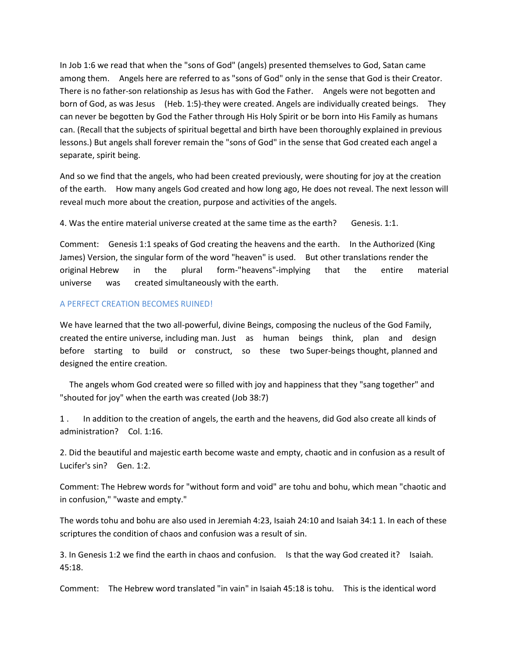In Job 1:6 we read that when the "sons of God" (angels) presented themselves to God, Satan came among them. Angels here are referred to as "sons of God" only in the sense that God is their Creator. There is no father-son relationship as Jesus has with God the Father. Angels were not begotten and born of God, as was Jesus (Heb. 1:5)-they were created. Angels are individually created beings. They can never be begotten by God the Father through His Holy Spirit or be born into His Family as humans can. (Recall that the subjects of spiritual begettal and birth have been thoroughly explained in previous lessons.) But angels shall forever remain the "sons of God" in the sense that God created each angel a separate, spirit being.

And so we find that the angels, who had been created previously, were shouting for joy at the creation of the earth. How many angels God created and how long ago, He does not reveal. The next lesson will reveal much more about the creation, purpose and activities of the angels.

4. Was the entire material universe created at the same time as the earth? Genesis. 1:1.

Comment: Genesis 1:1 speaks of God creating the heavens and the earth. In the Authorized (King James) Version, the singular form of the word "heaven" is used. But other translations render the original Hebrew in the plural form-"heavens"-implying that the entire material universe was created simultaneously with the earth.

#### A PERFECT CREATION BECOMES RUINED!

We have learned that the two all-powerful, divine Beings, composing the nucleus of the God Family, created the entire universe, including man. Just as human beings think, plan and design before starting to build or construct, so these two Super-beings thought, planned and designed the entire creation.

 The angels whom God created were so filled with joy and happiness that they "sang together" and "shouted for joy" when the earth was created (Job 38:7)

1 . In addition to the creation of angels, the earth and the heavens, did God also create all kinds of administration? Col. 1:16.

2. Did the beautiful and majestic earth become waste and empty, chaotic and in confusion as a result of Lucifer's sin? Gen. 1:2.

Comment: The Hebrew words for "without form and void" are tohu and bohu, which mean "chaotic and in confusion," "waste and empty."

The words tohu and bohu are also used in Jeremiah 4:23, Isaiah 24:10 and Isaiah 34:1 1. In each of these scriptures the condition of chaos and confusion was a result of sin.

3. In Genesis 1:2 we find the earth in chaos and confusion. Is that the way God created it? Isaiah. 45:18.

Comment: The Hebrew word translated "in vain" in Isaiah 45:18 is tohu. This is the identical word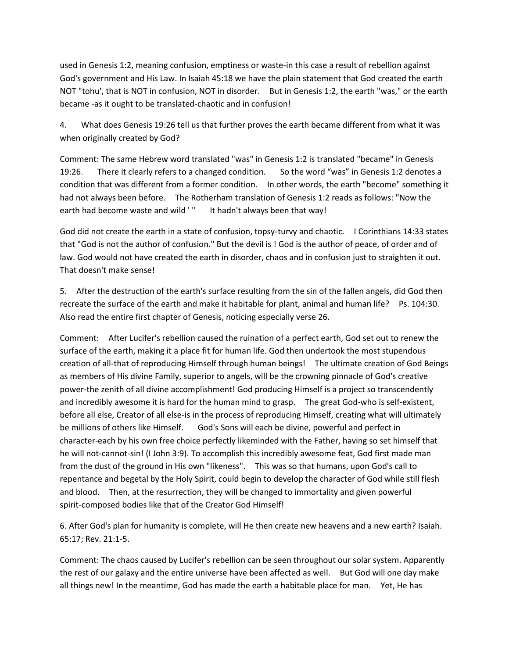used in Genesis 1:2, meaning confusion, emptiness or waste-in this case a result of rebellion against God's government and His Law. In Isaiah 45:18 we have the plain statement that God created the earth NOT "tohu', that is NOT in confusion, NOT in disorder. But in Genesis 1:2, the earth "was," or the earth became -as it ought to be translated-chaotic and in confusion!

4. What does Genesis 19:26 tell us that further proves the earth became different from what it was when originally created by God?

Comment: The same Hebrew word translated "was" in Genesis 1:2 is translated "became" in Genesis 19:26. There it clearly refers to a changed condition. So the word "was" in Genesis 1:2 denotes a condition that was different from a former condition. In other words, the earth "become" something it had not always been before. The Rotherham translation of Genesis 1:2 reads as follows: "Now the earth had become waste and wild '" It hadn't always been that way!

God did not create the earth in a state of confusion, topsy-turvy and chaotic. I Corinthians 14:33 states that "God is not the author of confusion." But the devil is ! God is the author of peace, of order and of law. God would not have created the earth in disorder, chaos and in confusion just to straighten it out. That doesn't make sense!

5. After the destruction of the earth's surface resulting from the sin of the fallen angels, did God then recreate the surface of the earth and make it habitable for plant, animal and human life? Ps. 104:30. Also read the entire first chapter of Genesis, noticing especially verse 26.

Comment: After Lucifer's rebellion caused the ruination of a perfect earth, God set out to renew the surface of the earth, making it a place fit for human life. God then undertook the most stupendous creation of all-that of reproducing Himself through human beings! The ultimate creation of God Beings as members of His divine Family, superior to angels, will be the crowning pinnacle of God's creative power-the zenith of all divine accomplishment! God producing Himself is a project so transcendently and incredibly awesome it is hard for the human mind to grasp. The great God-who is self-existent, before all else, Creator of all else-is in the process of reproducing Himself, creating what will ultimately be millions of others like Himself. God's Sons will each be divine, powerful and perfect in character-each by his own free choice perfectly likeminded with the Father, having so set himself that he will not-cannot-sin! (I John 3:9). To accomplish this incredibly awesome feat, God first made man from the dust of the ground in His own "likeness". This was so that humans, upon God's call to repentance and begetal by the Holy Spirit, could begin to develop the character of God while still flesh and blood. Then, at the resurrection, they will be changed to immortality and given powerful spirit-composed bodies like that of the Creator God Himself!

6. After God's plan for humanity is complete, will He then create new heavens and a new earth? Isaiah. 65:17; Rev. 21:1-5.

Comment: The chaos caused by Lucifer's rebellion can be seen throughout our solar system. Apparently the rest of our galaxy and the entire universe have been affected as well. But God will one day make all things new! In the meantime, God has made the earth a habitable place for man. Yet, He has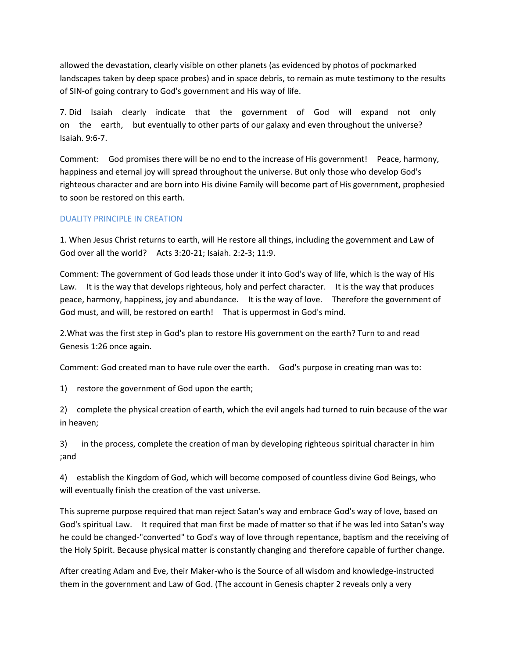allowed the devastation, clearly visible on other planets (as evidenced by photos of pockmarked landscapes taken by deep space probes) and in space debris, to remain as mute testimony to the results of SIN-of going contrary to God's government and His way of life.

7. Did Isaiah clearly indicate that the government of God will expand not only on the earth, but eventually to other parts of our galaxy and even throughout the universe? Isaiah. 9:6-7.

Comment: God promises there will be no end to the increase of His government! Peace, harmony, happiness and eternal joy will spread throughout the universe. But only those who develop God's righteous character and are born into His divine Family will become part of His government, prophesied to soon be restored on this earth.

#### DUALITY PRINCIPLE IN CREATION

1. When Jesus Christ returns to earth, will He restore all things, including the government and Law of God over all the world? Acts 3:20-21; Isaiah. 2:2-3; 11:9.

Comment: The government of God leads those under it into God's way of life, which is the way of His Law. It is the way that develops righteous, holy and perfect character. It is the way that produces peace, harmony, happiness, joy and abundance. It is the way of love. Therefore the government of God must, and will, be restored on earth! That is uppermost in God's mind.

2.What was the first step in God's plan to restore His government on the earth? Turn to and read Genesis 1:26 once again.

Comment: God created man to have rule over the earth. God's purpose in creating man was to:

1) restore the government of God upon the earth;

2) complete the physical creation of earth, which the evil angels had turned to ruin because of the war in heaven;

3) in the process, complete the creation of man by developing righteous spiritual character in him ;and

4) establish the Kingdom of God, which will become composed of countless divine God Beings, who will eventually finish the creation of the vast universe.

This supreme purpose required that man reject Satan's way and embrace God's way of love, based on God's spiritual Law. It required that man first be made of matter so that if he was led into Satan's way he could be changed-"converted" to God's way of love through repentance, baptism and the receiving of the Holy Spirit. Because physical matter is constantly changing and therefore capable of further change.

After creating Adam and Eve, their Maker-who is the Source of all wisdom and knowledge-instructed them in the government and Law of God. (The account in Genesis chapter 2 reveals only a very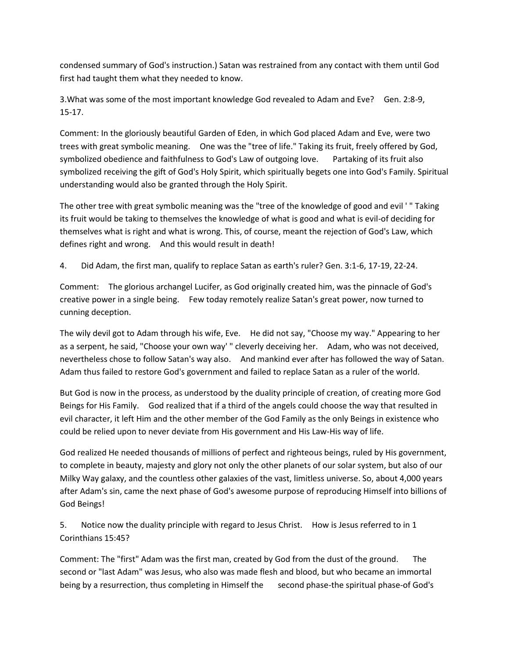condensed summary of God's instruction.) Satan was restrained from any contact with them until God first had taught them what they needed to know.

3.What was some of the most important knowledge God revealed to Adam and Eve? Gen. 2:8-9, 15-17.

Comment: In the gloriously beautiful Garden of Eden, in which God placed Adam and Eve, were two trees with great symbolic meaning. One was the "tree of life." Taking its fruit, freely offered by God, symbolized obedience and faithfulness to God's Law of outgoing love. Partaking of its fruit also symbolized receiving the gift of God's Holy Spirit, which spiritually begets one into God's Family. Spiritual understanding would also be granted through the Holy Spirit.

The other tree with great symbolic meaning was the "tree of the knowledge of good and evil ' " Taking its fruit would be taking to themselves the knowledge of what is good and what is evil-of deciding for themselves what is right and what is wrong. This, of course, meant the rejection of God's Law, which defines right and wrong. And this would result in death!

4. Did Adam, the first man, qualify to replace Satan as earth's ruler? Gen. 3:1-6, 17-19, 22-24.

Comment: The glorious archangel Lucifer, as God originally created him, was the pinnacle of God's creative power in a single being. Few today remotely realize Satan's great power, now turned to cunning deception.

The wily devil got to Adam through his wife, Eve. He did not say, "Choose my way." Appearing to her as a serpent, he said, "Choose your own way' " cleverly deceiving her. Adam, who was not deceived, nevertheless chose to follow Satan's way also. And mankind ever after has followed the way of Satan. Adam thus failed to restore God's government and failed to replace Satan as a ruler of the world.

But God is now in the process, as understood by the duality principle of creation, of creating more God Beings for His Family. God realized that if a third of the angels could choose the way that resulted in evil character, it left Him and the other member of the God Family as the only Beings in existence who could be relied upon to never deviate from His government and His Law-His way of life.

God realized He needed thousands of millions of perfect and righteous beings, ruled by His government, to complete in beauty, majesty and glory not only the other planets of our solar system, but also of our Milky Way galaxy, and the countless other galaxies of the vast, limitless universe. So, about 4,000 years after Adam's sin, came the next phase of God's awesome purpose of reproducing Himself into billions of God Beings!

5. Notice now the duality principle with regard to Jesus Christ. How is Jesus referred to in 1 Corinthians 15:45?

Comment: The "first" Adam was the first man, created by God from the dust of the ground. The second or "last Adam" was Jesus, who also was made flesh and blood, but who became an immortal being by a resurrection, thus completing in Himself the second phase-the spiritual phase-of God's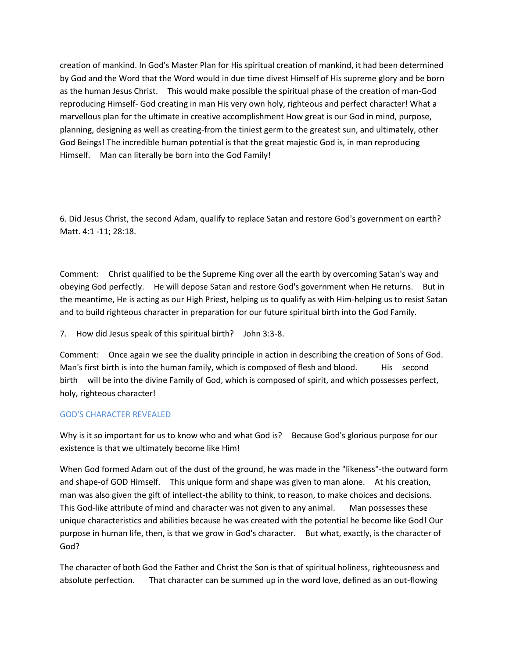creation of mankind. In God's Master Plan for His spiritual creation of mankind, it had been determined by God and the Word that the Word would in due time divest Himself of His supreme glory and be born as the human Jesus Christ. This would make possible the spiritual phase of the creation of man-God reproducing Himself- God creating in man His very own holy, righteous and perfect character! What a marvellous plan for the ultimate in creative accomplishment How great is our God in mind, purpose, planning, designing as well as creating-from the tiniest germ to the greatest sun, and ultimately, other God Beings! The incredible human potential is that the great majestic God is, in man reproducing Himself. Man can literally be born into the God Family!

6. Did Jesus Christ, the second Adam, qualify to replace Satan and restore God's government on earth? Matt. 4:1 -11; 28:18.

Comment: Christ qualified to be the Supreme King over all the earth by overcoming Satan's way and obeying God perfectly. He will depose Satan and restore God's government when He returns. But in the meantime, He is acting as our High Priest, helping us to qualify as with Him-helping us to resist Satan and to build righteous character in preparation for our future spiritual birth into the God Family.

7. How did Jesus speak of this spiritual birth? John 3:3-8.

Comment: Once again we see the duality principle in action in describing the creation of Sons of God. Man's first birth is into the human family, which is composed of flesh and blood. His second birth will be into the divine Family of God, which is composed of spirit, and which possesses perfect, holy, righteous character!

## GOD'S CHARACTER REVEALED

Why is it so important for us to know who and what God is? Because God's glorious purpose for our existence is that we ultimately become like Him!

When God formed Adam out of the dust of the ground, he was made in the "likeness"-the outward form and shape-of GOD Himself. This unique form and shape was given to man alone. At his creation, man was also given the gift of intellect-the ability to think, to reason, to make choices and decisions. This God-like attribute of mind and character was not given to any animal. Man possesses these unique characteristics and abilities because he was created with the potential he become like God! Our purpose in human life, then, is that we grow in God's character. But what, exactly, is the character of God?

The character of both God the Father and Christ the Son is that of spiritual holiness, righteousness and absolute perfection. That character can be summed up in the word love, defined as an out-flowing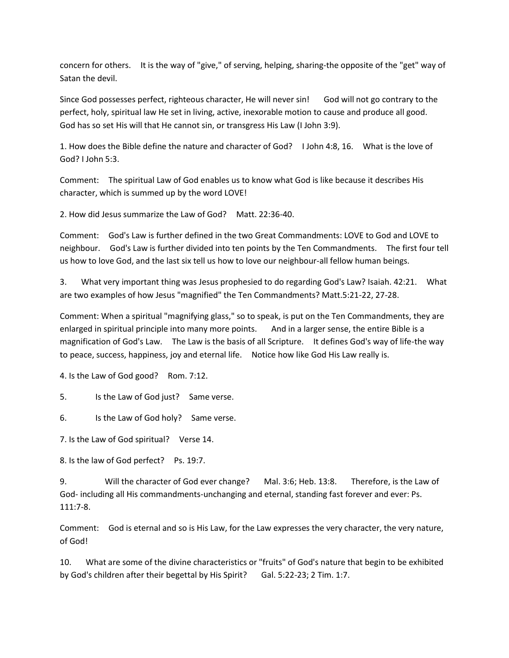concern for others. It is the way of "give," of serving, helping, sharing-the opposite of the "get" way of Satan the devil.

Since God possesses perfect, righteous character, He will never sin! God will not go contrary to the perfect, holy, spiritual law He set in living, active, inexorable motion to cause and produce all good. God has so set His will that He cannot sin, or transgress His Law (I John 3:9).

1. How does the Bible define the nature and character of God? I John 4:8, 16. What is the love of God? I John 5:3.

Comment: The spiritual Law of God enables us to know what God is like because it describes His character, which is summed up by the word LOVE!

2. How did Jesus summarize the Law of God? Matt. 22:36-40.

Comment: God's Law is further defined in the two Great Commandments: LOVE to God and LOVE to neighbour. God's Law is further divided into ten points by the Ten Commandments. The first four tell us how to love God, and the last six tell us how to love our neighbour-all fellow human beings.

3. What very important thing was Jesus prophesied to do regarding God's Law? Isaiah. 42:21. What are two examples of how Jesus "magnified" the Ten Commandments? Matt.5:21-22, 27-28.

Comment: When a spiritual "magnifying glass," so to speak, is put on the Ten Commandments, they are enlarged in spiritual principle into many more points. And in a larger sense, the entire Bible is a magnification of God's Law. The Law is the basis of all Scripture. It defines God's way of life-the way to peace, success, happiness, joy and eternal life. Notice how like God His Law really is.

4. Is the Law of God good? Rom. 7:12.

5. Is the Law of God just? Same verse.

6. Is the Law of God holy? Same verse.

7. Is the Law of God spiritual? Verse 14.

8. Is the law of God perfect? Ps. 19:7.

9. Will the character of God ever change? Mal. 3:6; Heb. 13:8. Therefore, is the Law of God- including all His commandments-unchanging and eternal, standing fast forever and ever: Ps. 111:7-8.

Comment: God is eternal and so is His Law, for the Law expresses the very character, the very nature, of God!

10. What are some of the divine characteristics or "fruits" of God's nature that begin to be exhibited by God's children after their begettal by His Spirit? Gal. 5:22-23; 2 Tim. 1:7.